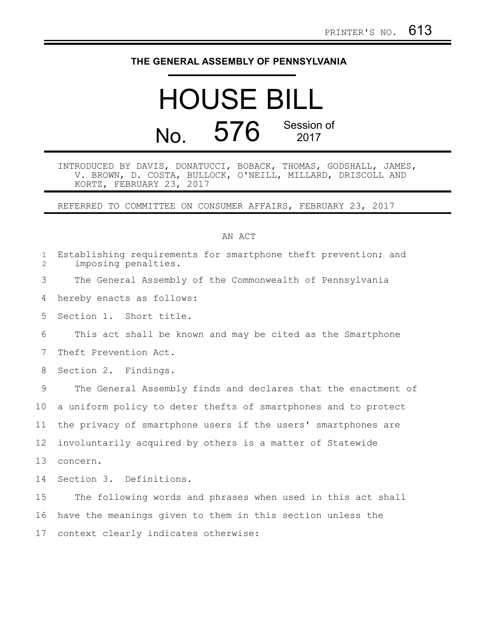## **THE GENERAL ASSEMBLY OF PENNSYLVANIA**

## HOUSE BILL No. 576 Session of

INTRODUCED BY DAVIS, DONATUCCI, BOBACK, THOMAS, GODSHALL, JAMES, V. BROWN, D. COSTA, BULLOCK, O'NEILL, MILLARD, DRISCOLL AND KORTZ, FEBRUARY 23, 2017

REFERRED TO COMMITTEE ON CONSUMER AFFAIRS, FEBRUARY 23, 2017

## AN ACT

| $\mathbf 1$<br>$\overline{2}$ | Establishing requirements for smartphone theft prevention; and<br>imposing penalties. |
|-------------------------------|---------------------------------------------------------------------------------------|
| 3                             | The General Assembly of the Commonwealth of Pennsylvania                              |
| 4                             | hereby enacts as follows:                                                             |
| 5                             | Section 1. Short title.                                                               |
| 6                             | This act shall be known and may be cited as the Smartphone                            |
| 7                             | Theft Prevention Act.                                                                 |
| 8                             | Section 2. Findings.                                                                  |
| 9                             | The General Assembly finds and declares that the enactment of                         |
| 10                            | a uniform policy to deter thefts of smartphones and to protect                        |
| 11                            | the privacy of smartphone users if the users' smartphones are                         |
| 12 <sup>°</sup>               | involuntarily acquired by others is a matter of Statewide                             |
| 13                            | concern.                                                                              |
| 14                            | Section 3. Definitions.                                                               |
| 15                            | The following words and phrases when used in this act shall                           |
| 16                            | have the meanings given to them in this section unless the                            |
| 17                            | context clearly indicates otherwise:                                                  |
|                               |                                                                                       |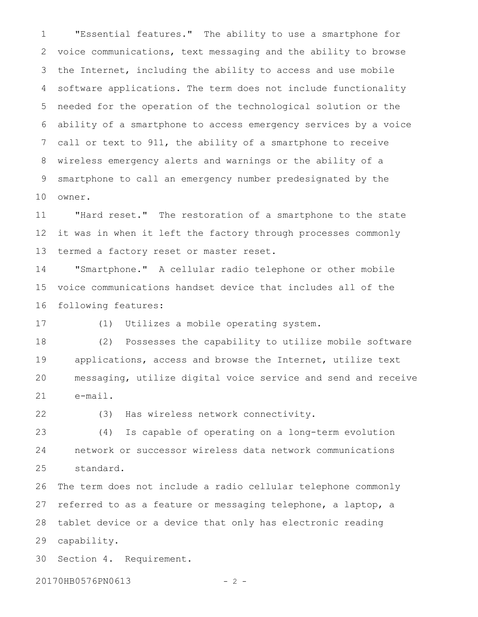"Essential features." The ability to use a smartphone for voice communications, text messaging and the ability to browse the Internet, including the ability to access and use mobile software applications. The term does not include functionality needed for the operation of the technological solution or the ability of a smartphone to access emergency services by a voice call or text to 911, the ability of a smartphone to receive wireless emergency alerts and warnings or the ability of a smartphone to call an emergency number predesignated by the owner. 1 2 3 4 5 6 7 8 9 10

"Hard reset." The restoration of a smartphone to the state it was in when it left the factory through processes commonly termed a factory reset or master reset. 11 12 13

"Smartphone." A cellular radio telephone or other mobile voice communications handset device that includes all of the following features: 14 15 16

17

(1) Utilizes a mobile operating system.

(2) Possesses the capability to utilize mobile software applications, access and browse the Internet, utilize text messaging, utilize digital voice service and send and receive e-mail. 18 19 20 21

22

(3) Has wireless network connectivity.

(4) Is capable of operating on a long-term evolution network or successor wireless data network communications standard. 23 24 25

The term does not include a radio cellular telephone commonly referred to as a feature or messaging telephone, a laptop, a tablet device or a device that only has electronic reading capability. 26 27 28 29

Section 4. Requirement. 30

20170HB0576PN0613 - 2 -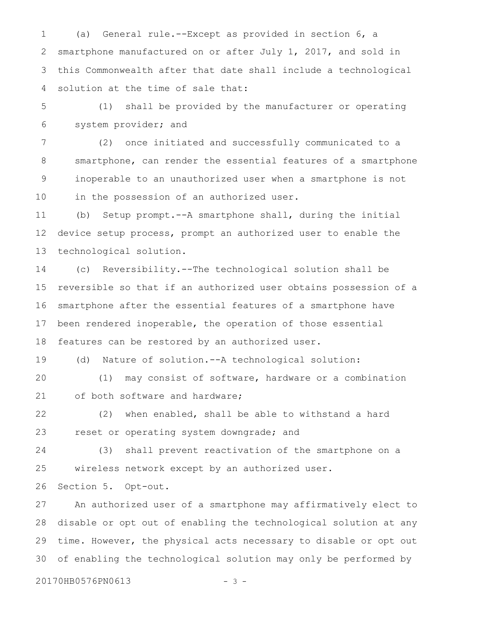(a) General rule.--Except as provided in section 6, a smartphone manufactured on or after July 1, 2017, and sold in this Commonwealth after that date shall include a technological solution at the time of sale that: 1 2 3 4

(1) shall be provided by the manufacturer or operating system provider; and 5 6

(2) once initiated and successfully communicated to a smartphone, can render the essential features of a smartphone inoperable to an unauthorized user when a smartphone is not in the possession of an authorized user. 7 8 9 10

(b) Setup prompt.--A smartphone shall, during the initial device setup process, prompt an authorized user to enable the technological solution. 11 12 13

(c) Reversibility.--The technological solution shall be reversible so that if an authorized user obtains possession of a smartphone after the essential features of a smartphone have been rendered inoperable, the operation of those essential features can be restored by an authorized user. 14 15 16 17 18

(d) Nature of solution.--A technological solution: 19

(1) may consist of software, hardware or a combination of both software and hardware; 20 21

(2) when enabled, shall be able to withstand a hard reset or operating system downgrade; and 22 23

(3) shall prevent reactivation of the smartphone on a wireless network except by an authorized user. 24 25

Section 5. Opt-out. 26

An authorized user of a smartphone may affirmatively elect to disable or opt out of enabling the technological solution at any time. However, the physical acts necessary to disable or opt out of enabling the technological solution may only be performed by 27 28 29 30

20170HB0576PN0613 - 3 -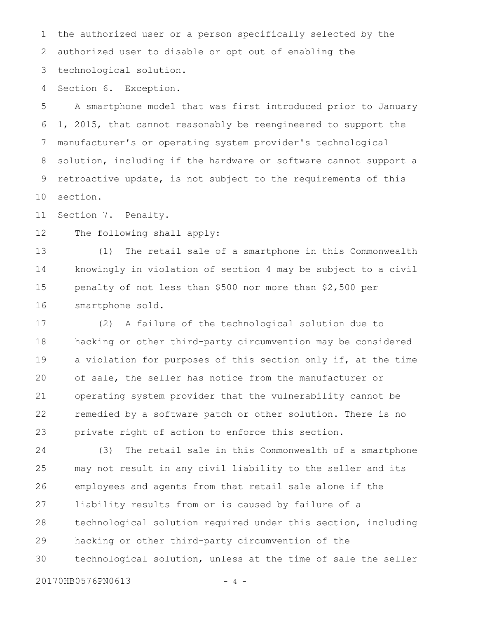the authorized user or a person specifically selected by the authorized user to disable or opt out of enabling the technological solution. 1 2 3

Section 6. Exception. 4

A smartphone model that was first introduced prior to January 1, 2015, that cannot reasonably be reengineered to support the manufacturer's or operating system provider's technological solution, including if the hardware or software cannot support a retroactive update, is not subject to the requirements of this section. 5 6 7 8 9 10

Section 7. Penalty. 11

The following shall apply: 12

(1) The retail sale of a smartphone in this Commonwealth knowingly in violation of section 4 may be subject to a civil penalty of not less than \$500 nor more than \$2,500 per smartphone sold. 13 14 15 16

(2) A failure of the technological solution due to hacking or other third-party circumvention may be considered a violation for purposes of this section only if, at the time of sale, the seller has notice from the manufacturer or operating system provider that the vulnerability cannot be remedied by a software patch or other solution. There is no private right of action to enforce this section. 17 18 19 20 21 22 23

(3) The retail sale in this Commonwealth of a smartphone may not result in any civil liability to the seller and its employees and agents from that retail sale alone if the liability results from or is caused by failure of a technological solution required under this section, including hacking or other third-party circumvention of the technological solution, unless at the time of sale the seller 24 25 26 27 28 29 30

20170HB0576PN0613 - 4 -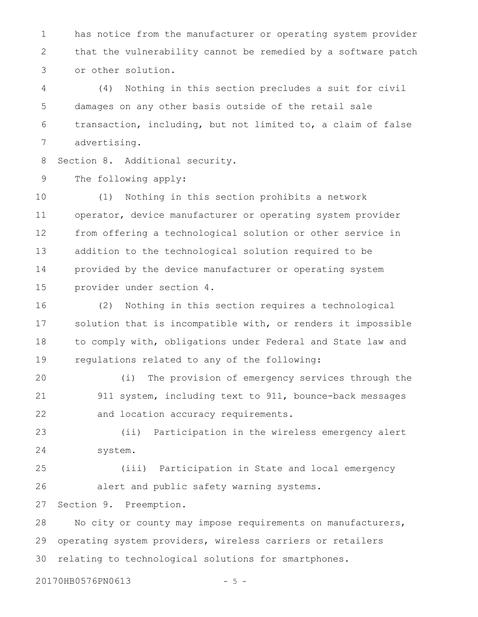has notice from the manufacturer or operating system provider that the vulnerability cannot be remedied by a software patch or other solution. 1 2 3

(4) Nothing in this section precludes a suit for civil damages on any other basis outside of the retail sale transaction, including, but not limited to, a claim of false advertising. 4 5 6 7

Section 8. Additional security. 8

The following apply: 9

(1) Nothing in this section prohibits a network operator, device manufacturer or operating system provider from offering a technological solution or other service in addition to the technological solution required to be provided by the device manufacturer or operating system provider under section 4. 10 11 12 13 14 15

(2) Nothing in this section requires a technological solution that is incompatible with, or renders it impossible to comply with, obligations under Federal and State law and regulations related to any of the following: 16 17 18 19

(i) The provision of emergency services through the 911 system, including text to 911, bounce-back messages and location accuracy requirements. 20 21 22

(ii) Participation in the wireless emergency alert system. 23 24

(iii) Participation in State and local emergency alert and public safety warning systems. 25 26

Section 9. Preemption. 27

No city or county may impose requirements on manufacturers, operating system providers, wireless carriers or retailers relating to technological solutions for smartphones. 28 29 30

20170HB0576PN0613 - 5 -